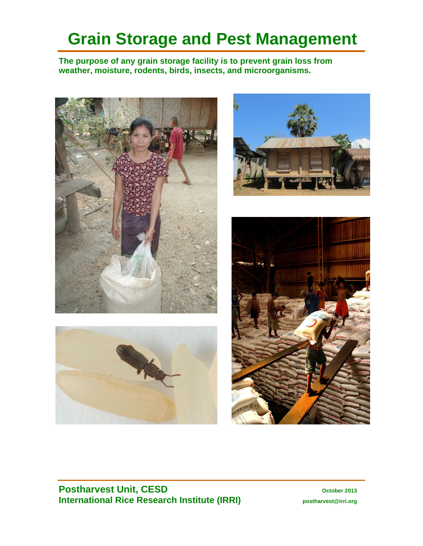# **Grain Storage and Pest Management**

**The purpose of any grain storage facility is to prevent grain loss from weather, moisture, rodents, birds, insects, and microorganisms.**









# **Postharvest Unit, CESD October 2013 International Rice Research Institute (IRRI) postharvest@irri.org**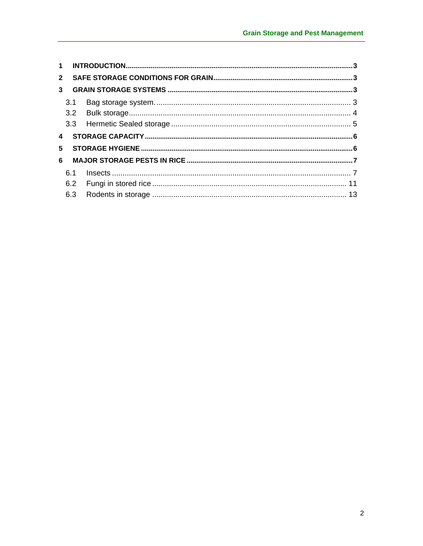| $\mathbf 1$    |     |  |
|----------------|-----|--|
| $\overline{2}$ |     |  |
| $\mathbf{3}$   |     |  |
|                | 3.1 |  |
|                |     |  |
|                |     |  |
| 4              |     |  |
| 5.             |     |  |
| 6              |     |  |
|                | 6.1 |  |
|                |     |  |
|                | 6.3 |  |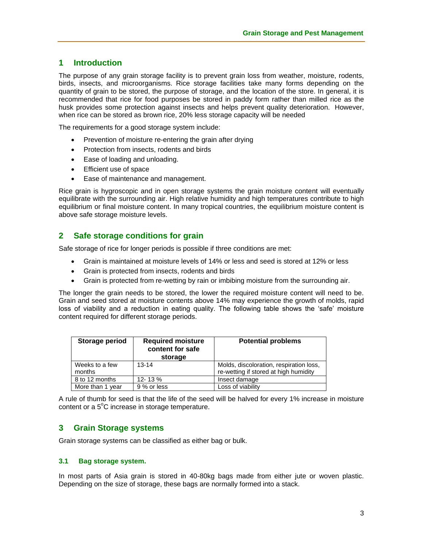# **1 Introduction**

The purpose of any grain storage facility is to prevent grain loss from weather, moisture, rodents, birds, insects, and microorganisms. Rice storage facilities take many forms depending on the quantity of grain to be stored, the purpose of storage, and the location of the store. In general, it is recommended that rice for food purposes be stored in paddy form rather than milled rice as the husk provides some protection against insects and helps prevent quality deterioration. However, when rice can be stored as brown rice, 20% less storage capacity will be needed

The requirements for a good storage system include:

- Prevention of moisture re-entering the grain after drying
- Protection from insects, rodents and birds
- Ease of loading and unloading.
- Efficient use of space
- Ease of maintenance and management.

Rice grain is hygroscopic and in open storage systems the grain moisture content will eventually equilibrate with the surrounding air. High relative humidity and high temperatures contribute to high equilibrium or final moisture content. In many tropical countries, the equilibrium moisture content is above safe storage moisture levels.

# **2 Safe storage conditions for grain**

Safe storage of rice for longer periods is possible if three conditions are met:

- Grain is maintained at moisture levels of 14% or less and seed is stored at 12% or less
- Grain is protected from insects, rodents and birds
- Grain is protected from re-wetting by rain or imbibing moisture from the surrounding air.

The longer the grain needs to be stored, the lower the required moisture content will need to be. Grain and seed stored at moisture contents above 14% may experience the growth of molds, rapid loss of viability and a reduction in eating quality. The following table shows the 'safe' moisture content required for different storage periods.

| Storage period           | <b>Required moisture</b><br>content for safe<br>storage | <b>Potential problems</b>                                                        |  |  |
|--------------------------|---------------------------------------------------------|----------------------------------------------------------------------------------|--|--|
| Weeks to a few<br>months | $13 - 14$                                               | Molds, discoloration, respiration loss,<br>re-wetting if stored at high humidity |  |  |
| 8 to 12 months           | 12-13%                                                  | Insect damage                                                                    |  |  |
| More than 1 year         | 9 % or less                                             | Loss of viability                                                                |  |  |

A rule of thumb for seed is that the life of the seed will be halved for every 1% increase in moisture content or a  $5^{\circ}$ C increase in storage temperature.

# **3 Grain Storage systems**

Grain storage systems can be classified as either bag or bulk.

#### **3.1 Bag storage system.**

In most parts of Asia grain is stored in 40-80kg bags made from either jute or woven plastic. Depending on the size of storage, these bags are normally formed into a stack.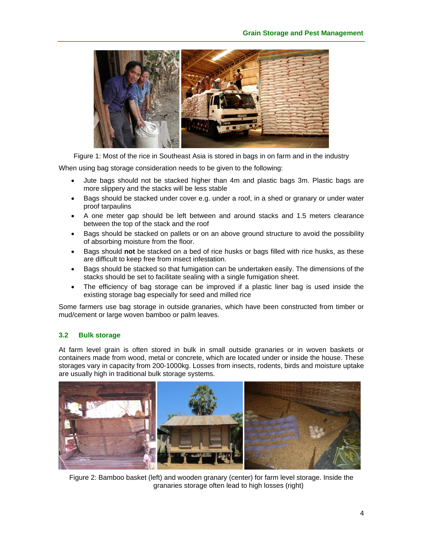

Figure 1: Most of the rice in Southeast Asia is stored in bags in on farm and in the industry

When using bag storage consideration needs to be given to the following:

- Jute bags should not be stacked higher than 4m and plastic bags 3m. Plastic bags are more slippery and the stacks will be less stable
- Bags should be stacked under cover e.g. under a roof, in a shed or granary or under water proof tarpaulins
- A one meter gap should be left between and around stacks and 1.5 meters clearance between the top of the stack and the roof
- Bags should be stacked on pallets or on an above ground structure to avoid the possibility of absorbing moisture from the floor.
- Bags should **not** be stacked on a bed of rice husks or bags filled with rice husks, as these are difficult to keep free from insect infestation.
- Bags should be stacked so that fumigation can be undertaken easily. The dimensions of the stacks should be set to facilitate sealing with a single fumigation sheet.
- The efficiency of bag storage can be improved if a plastic liner bag is used inside the existing storage bag especially for seed and milled rice

Some farmers use bag storage in outside granaries, which have been constructed from timber or mud/cement or large woven bamboo or palm leaves.

# **3.2 Bulk storage**

At farm level grain is often stored in bulk in small outside granaries or in woven baskets or containers made from wood, metal or concrete, which are located under or inside the house. These storages vary in capacity from 200-1000kg. Losses from insects, rodents, birds and moisture uptake are usually high in traditional bulk storage systems.



Figure 2: Bamboo basket (left) and wooden granary (center) for farm level storage. Inside the granaries storage often lead to high losses (right)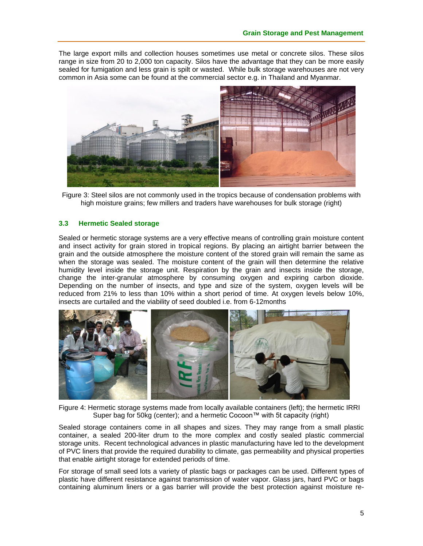The large export mills and collection houses sometimes use metal or concrete silos. These silos range in size from 20 to 2,000 ton capacity. Silos have the advantage that they can be more easily sealed for fumigation and less grain is spilt or wasted. While bulk storage warehouses are not very common in Asia some can be found at the commercial sector e.g. in Thailand and Myanmar.



Figure 3: Steel silos are not commonly used in the tropics because of condensation problems with high moisture grains; few millers and traders have warehouses for bulk storage (right)

## **3.3 Hermetic Sealed storage**

Sealed or hermetic storage systems are a very effective means of controlling grain moisture content and insect activity for grain stored in tropical regions. By placing an airtight barrier between the grain and the outside atmosphere the moisture content of the stored grain will remain the same as when the storage was sealed. The moisture content of the grain will then determine the relative humidity level inside the storage unit. Respiration by the grain and insects inside the storage, change the inter-granular atmosphere by consuming oxygen and expiring carbon dioxide. Depending on the number of insects, and type and size of the system, oxygen levels will be reduced from 21% to less than 10% within a short period of time. At oxygen levels below 10%, insects are curtailed and the viability of seed doubled i.e. from 6-12months



Figure 4: Hermetic storage systems made from locally available containers (left); the hermetic IRRI Super bag for 50kg (center); and a hermetic Cocoon™ with 5t capacity (right)

Sealed storage containers come in all shapes and sizes. They may range from a small plastic container, a sealed 200-liter drum to the more complex and costly sealed plastic commercial storage units. Recent technological advances in plastic manufacturing have led to the development of PVC liners that provide the required durability to climate, gas permeability and physical properties that enable airtight storage for extended periods of time.

For storage of small seed lots a variety of plastic bags or packages can be used. Different types of plastic have different resistance against transmission of water vapor. Glass jars, hard PVC or bags containing aluminum liners or a gas barrier will provide the best protection against moisture re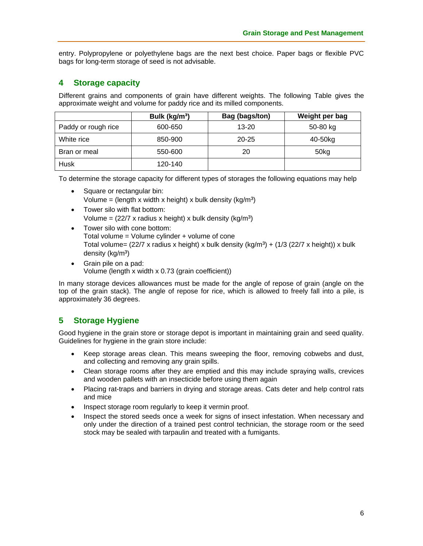entry. Polypropylene or polyethylene bags are the next best choice. Paper bags or flexible PVC bags for long-term storage of seed is not advisable.

# **4 Storage capacity**

Different grains and components of grain have different weights. The following Table gives the approximate weight and volume for paddy rice and its milled components.

|                     | Bulk (kg/m <sup>3</sup> ) | Bag (bags/ton) | Weight per bag   |
|---------------------|---------------------------|----------------|------------------|
| Paddy or rough rice | 600-650                   | $13 - 20$      | 50-80 kg         |
| White rice          | 850-900                   | $20 - 25$      | 40-50kg          |
| Bran or meal        | 550-600                   | 20             | 50 <sub>kg</sub> |
| Husk                | 120-140                   |                |                  |

To determine the storage capacity for different types of storages the following equations may help

- Square or rectangular bin: Volume = (length x width x height) x bulk density ( $kg/m<sup>3</sup>$ )
- Tower silo with flat bottom: Volume =  $(22/7 \times \text{radius } x \text{ height}) \times \text{bulk density } (kg/m^3)$
- Tower silo with cone bottom: Total volume = Volume cylinder + volume of cone Total volume=  $(22/7 \times \text{radius } x \text{ height}) \times \text{bulk density } (kg/m^3) + (1/3 (22/7 \times \text{height})) \times \text{bulk}$ density (kg/m<sup>3</sup>)
- Grain pile on a pad: Volume (length x width x 0.73 (grain coefficient))

In many storage devices allowances must be made for the angle of repose of grain (angle on the top of the grain stack). The angle of repose for rice, which is allowed to freely fall into a pile, is approximately 36 degrees.

# **5 Storage Hygiene**

Good hygiene in the grain store or storage depot is important in maintaining grain and seed quality. Guidelines for hygiene in the grain store include:

- Keep storage areas clean. This means sweeping the floor, removing cobwebs and dust, and collecting and removing any grain spills.
- Clean storage rooms after they are emptied and this may include spraying walls, crevices and wooden pallets with an insecticide before using them again
- Placing rat-traps and barriers in drying and storage areas. Cats deter and help control rats and mice
- Inspect storage room regularly to keep it vermin proof.
- Inspect the stored seeds once a week for signs of insect infestation. When necessary and only under the direction of a trained pest control technician, the storage room or the seed stock may be sealed with tarpaulin and treated with a fumigants.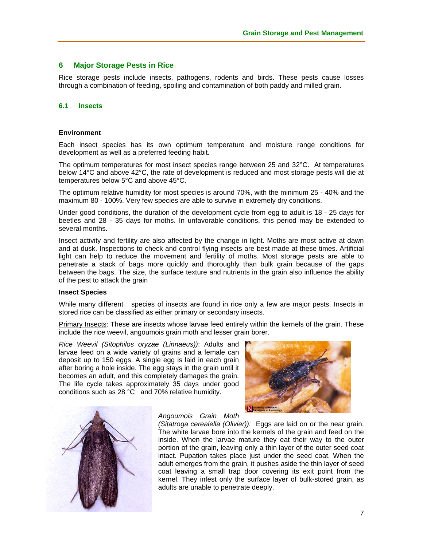# **6 Major Storage Pests in Rice**

Rice storage pests include insects, pathogens, rodents and birds. These pests cause losses through a combination of feeding, spoiling and contamination of both paddy and milled grain.

#### **6.1 Insects**

#### **Environment**

Each insect species has its own optimum temperature and moisture range conditions for development as well as a preferred feeding habit.

The optimum temperatures for most insect species range between 25 and 32°C. At temperatures below 14°C and above 42°C, the rate of development is reduced and most storage pests will die at temperatures below 5°C and above 45°C.

The optimum relative humidity for most species is around 70%, with the minimum 25 - 40% and the maximum 80 - 100%. Very few species are able to survive in extremely dry conditions.

Under good conditions, the duration of the development cycle from egg to adult is 18 - 25 days for beetles and 28 - 35 days for moths. In unfavorable conditions, this period may be extended to several months.

Insect activity and fertility are also affected by the change in light. Moths are most active at dawn and at dusk. Inspections to check and control flying insects are best made at these times. Artificial light can help to reduce the movement and fertility of moths. Most storage pests are able to penetrate a stack of bags more quickly and thoroughly than bulk grain because of the gaps between the bags. The size, the surface texture and nutrients in the grain also influence the ability of the pest to attack the grain

#### **Insect Species**

While many different species of insects are found in rice only a few are major pests. Insects in stored rice can be classified as either primary or secondary insects.

Primary Insects: These are insects whose larvae feed entirely within the kernels of the grain. These include the rice weevil, angoumois grain moth and lesser grain borer.

*Rice Weevil (Sitophilos oryzae (Linnaeus))*: Adults and larvae feed on a wide variety of grains and a female can deposit up to 150 eggs. A single egg is laid in each grain after boring a hole inside. The egg stays in the grain until it becomes an adult, and this completely damages the grain. The life cycle takes approximately 35 days under good conditions such as 28 °C and 70% relative humidity.





*Angoumois Grain Moth* 

*(Sitatroga cerealella (Olivier)):* Eggs are laid on or the near grain. The white larvae bore into the kernels of the grain and feed on the inside. When the larvae mature they eat their way to the outer portion of the grain, leaving only a thin layer of the outer seed coat intact. Pupation takes place just under the seed coat. When the adult emerges from the grain, it pushes aside the thin layer of seed coat leaving a small trap door covering its exit point from the kernel. They infest only the surface layer of bulk-stored grain, as adults are unable to penetrate deeply.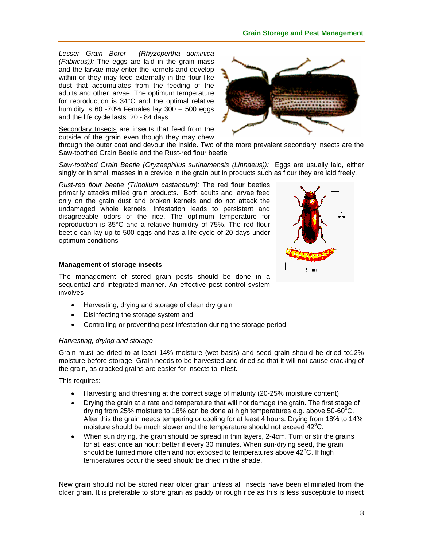# **Grain Storage and Pest Management**

*Lesser Grain Borer (Rhyzopertha dominica (Fabricus)):* The eggs are laid in the grain mass and the larvae may enter the kernels and develop within or they may feed externally in the flour-like dust that accumulates from the feeding of the adults and other larvae. The optimum temperature for reproduction is 34°C and the optimal relative humidity is 60 -70% Females lay 300 – 500 eggs and the life cycle lasts 20 - 84 days

Secondary Insects are insects that feed from the outside of the grain even though they may chew

through the outer coat and devour the inside. Two of the more prevalent secondary insects are the Saw-toothed Grain Beetle and the Rust-red flour beetle

*Saw-toothed Grain Beetle (Oryzaephilus surinamensis (Linnaeus)):* Eggs are usually laid, either singly or in small masses in a crevice in the grain but in products such as flour they are laid freely.

*Rust-red flour beetle (Tribolium castaneum):* The red flour beetles primarily attacks milled grain products. Both adults and larvae feed only on the grain dust and broken kernels and do not attack the undamaged whole kernels. Infestation leads to persistent and disagreeable odors of the rice. The optimum temperature for reproduction is 35°C and a relative humidity of 75%. The red flour beetle can lay up to 500 eggs and has a life cycle of 20 days under optimum conditions

## **Management of storage insects**

The management of stored grain pests should be done in a sequential and integrated manner. An effective pest control system involves

- Harvesting, drying and storage of clean dry grain
- Disinfecting the storage system and
- Controlling or preventing pest infestation during the storage period.

# *Harvesting, drying and storage*

Grain must be dried to at least 14% moisture (wet basis) and seed grain should be dried to12% moisture before storage. Grain needs to be harvested and dried so that it will not cause cracking of the grain, as cracked grains are easier for insects to infest.

This requires:

- Harvesting and threshing at the correct stage of maturity (20-25% moisture content)
- Drying the grain at a rate and temperature that will not damage the grain. The first stage of drying from 25% moisture to 18% can be done at high temperatures e.g. above 50-60 $^{\circ}$ C. After this the grain needs tempering or cooling for at least 4 hours. Drying from 18% to 14% moisture should be much slower and the temperature should not exceed  $42^{\circ}$ C.
- When sun drying, the grain should be spread in thin layers, 2-4cm. Turn or stir the grains for at least once an hour; better if every 30 minutes. When sun-drying seed, the grain should be turned more often and not exposed to temperatures above  $42^{\circ}$ C. If high temperatures occur the seed should be dried in the shade.

New grain should not be stored near older grain unless all insects have been eliminated from the older grain. It is preferable to store grain as paddy or rough rice as this is less susceptible to insect



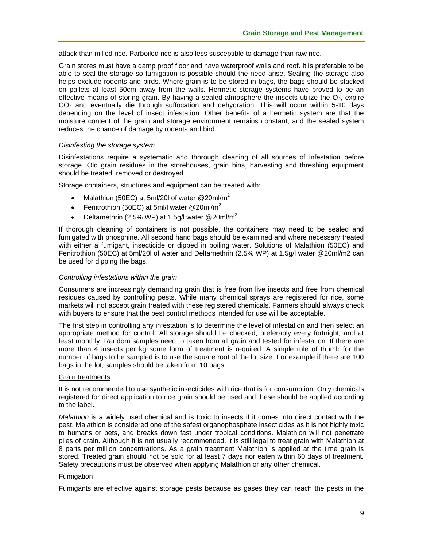attack than milled rice. Parboiled rice is also less susceptible to damage than raw rice.

Grain stores must have a damp proof floor and have waterproof walls and roof. It is preferable to be able to seal the storage so fumigation is possible should the need arise. Sealing the storage also helps exclude rodents and birds. Where grain is to be stored in bags, the bags should be stacked on pallets at least 50cm away from the walls. Hermetic storage systems have proved to be an effective means of storing grain. By having a sealed atmosphere the insects utilize the  $O<sub>2</sub>$ , expire  $CO<sub>2</sub>$  and eventually die through suffocation and dehydration. This will occur within 5-10 days depending on the level of insect infestation. Other benefits of a hermetic system are that the moisture content of the grain and storage environment remains constant, and the sealed system reduces the chance of damage by rodents and bird.

#### *Disinfesting the storage system*

Disinfestations require a systematic and thorough cleaning of all sources of infestation before storage. Old grain residues in the storehouses, grain bins, harvesting and threshing equipment should be treated, removed or destroyed.

Storage containers, structures and equipment can be treated with:

- Malathion (50EC) at 5ml/20l of water  $@20$ ml/m<sup>2</sup>
- Fenitrothion (50EC) at 5ml/l water  $@20$ ml/m<sup>2</sup>
- Deltamethrin (2.5% WP) at 1.5g/l water @20ml/m<sup>2</sup>

If thorough cleaning of containers is not possible, the containers may need to be sealed and fumigated with phosphine. All second hand bags should be examined and where necessary treated with either a fumigant, insecticide or dipped in boiling water. Solutions of Malathion (50EC) and Fenitrothion (50EC) at 5ml/20l of water and Deltamethrin (2.5% WP) at 1.5g/l water @20ml/m2 can be used for dipping the bags.

#### *Controlling infestations within the grain*

Consumers are increasingly demanding grain that is free from live insects and free from chemical residues caused by controlling pests. While many chemical sprays are registered for rice, some markets will not accept grain treated with these registered chemicals. Farmers should always check with buyers to ensure that the pest control methods intended for use will be acceptable.

The first step in controlling any infestation is to determine the level of infestation and then select an appropriate method for control. All storage should be checked, preferably every fortnight, and at least monthly. Random samples need to taken from all grain and tested for infestation. If there are more than 4 insects per kg some form of treatment is required. A simple rule of thumb for the number of bags to be sampled is to use the square root of the lot size. For example if there are 100 bags in the lot, samples should be taken from 10 bags.

#### Grain treatments

It is not recommended to use synthetic insecticides with rice that is for consumption. Only chemicals registered for direct application to rice grain should be used and these should be applied according to the label.

*Malathion* is a widely used chemical and is toxic to insects if it comes into direct contact with the pest. Malathion is considered one of the safest organophosphate insecticides as it is not highly toxic to humans or pets, and breaks down fast under tropical conditions. Malathion will not penetrate piles of grain. Although it is not usually recommended, it is still legal to treat grain with Malathion at 8 parts per million concentrations. As a grain treatment Malathion is applied at the time grain is stored. Treated grain should not be sold for at least 7 days nor eaten within 60 days of treatment. Safety precautions must be observed when applying Malathion or any other chemical.

#### Fumigation

Fumigants are effective against storage pests because as gases they can reach the pests in the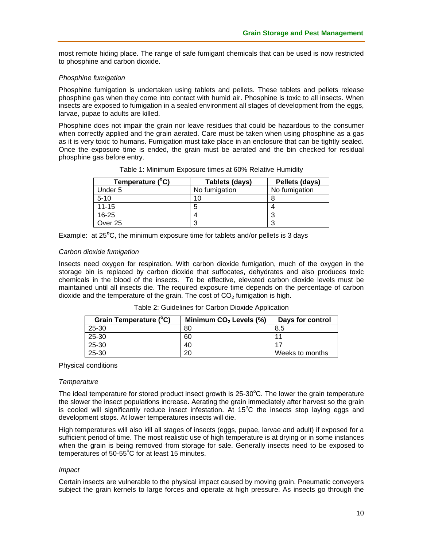most remote hiding place. The range of safe fumigant chemicals that can be used is now restricted to phosphine and carbon dioxide.

#### *Phosphine fumigation*

Phosphine fumigation is undertaken using tablets and pellets. These tablets and pellets release phosphine gas when they come into contact with humid air. Phosphine is toxic to all insects. When insects are exposed to fumigation in a sealed environment all stages of development from the eggs, larvae, pupae to adults are killed.

Phosphine does not impair the grain nor leave residues that could be hazardous to the consumer when correctly applied and the grain aerated. Care must be taken when using phosphine as a gas as it is very toxic to humans. Fumigation must take place in an enclosure that can be tightly sealed. Once the exposure time is ended, the grain must be aerated and the bin checked for residual phosphine gas before entry.

| Temperature (°C) | Tablets (days) | Pellets (days) |  |
|------------------|----------------|----------------|--|
| Under 5          | No fumigation  | No fumigation  |  |
| $5 - 10$         | 10             |                |  |
| $11 - 15$        | 5              |                |  |
| $16 - 25$        | 4              |                |  |
| Over 25          | 3              |                |  |

|  | Table 1: Minimum Exposure times at 60% Relative Humidity |  |  |  |
|--|----------------------------------------------------------|--|--|--|
|  |                                                          |  |  |  |

| Example: at 25°C, the minimum exposure time for tablets and/or pellets is 3 days |  |
|----------------------------------------------------------------------------------|--|
|----------------------------------------------------------------------------------|--|

#### *Carbon dioxide fumigation*

Insects need oxygen for respiration. With carbon dioxide fumigation, much of the oxygen in the storage bin is replaced by carbon dioxide that suffocates, dehydrates and also produces toxic chemicals in the blood of the insects. To be effective, elevated carbon dioxide levels must be maintained until all insects die. The required exposure time depends on the percentage of carbon dioxide and the temperature of the grain. The cost of  $CO<sub>2</sub>$  fumigation is high.

| Grain Temperature (°C) | Minimum $CO2$ Levels (%) | Days for control |
|------------------------|--------------------------|------------------|
| 25-30                  | 80                       | 8.5              |
| 25-30                  | 60                       |                  |
| 25-30                  | 40                       |                  |
| 25-30                  | 20                       | Weeks to months  |

| Table 2: Guidelines for Carbon Dioxide Application |  |  |  |
|----------------------------------------------------|--|--|--|
|----------------------------------------------------|--|--|--|

#### Physical conditions

#### *Temperature*

The ideal temperature for stored product insect growth is  $25{\cdot}30^{\circ}$ C. The lower the grain temperature the slower the insect populations increase. Aerating the grain immediately after harvest so the grain is cooled will significantly reduce insect infestation. At  $15^{\circ}$ C the insects stop laying eggs and development stops. At lower temperatures insects will die.

High temperatures will also kill all stages of insects (eggs, pupae, larvae and adult) if exposed for a sufficient period of time. The most realistic use of high temperature is at drying or in some instances when the grain is being removed from storage for sale. Generally insects need to be exposed to temperatures of  $50-55^{\circ}$ C for at least 15 minutes.

#### *Impact*

Certain insects are vulnerable to the physical impact caused by moving grain. Pneumatic conveyers subject the grain kernels to large forces and operate at high pressure. As insects go through the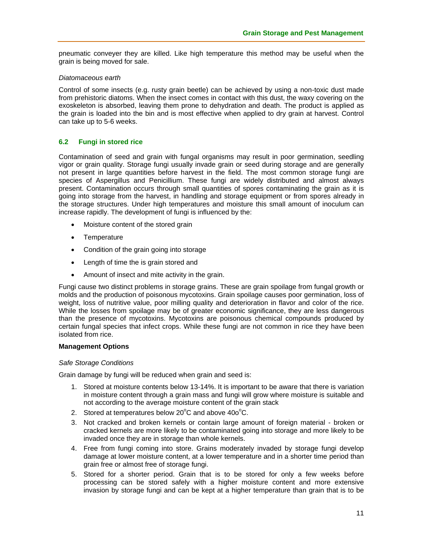pneumatic conveyer they are killed. Like high temperature this method may be useful when the grain is being moved for sale.

#### *Diatomaceous earth*

Control of some insects (e.g. rusty grain beetle) can be achieved by using a non-toxic dust made from prehistoric diatoms. When the insect comes in contact with this dust, the waxy covering on the exoskeleton is absorbed, leaving them prone to dehydration and death. The product is applied as the grain is loaded into the bin and is most effective when applied to dry grain at harvest. Control can take up to 5-6 weeks.

# **6.2 Fungi in stored rice**

Contamination of seed and grain with fungal organisms may result in poor germination, seedling vigor or grain quality. Storage fungi usually invade grain or seed during storage and are generally not present in large quantities before harvest in the field. The most common storage fungi are species of Aspergillus and Penicillium. These fungi are widely distributed and almost always present. Contamination occurs through small quantities of spores contaminating the grain as it is going into storage from the harvest, in handling and storage equipment or from spores already in the storage structures. Under high temperatures and moisture this small amount of inoculum can increase rapidly. The development of fungi is influenced by the:

- Moisture content of the stored grain
- **Temperature**
- Condition of the grain going into storage
- Length of time the is grain stored and
- Amount of insect and mite activity in the grain.

Fungi cause two distinct problems in storage grains. These are grain spoilage from fungal growth or molds and the production of poisonous mycotoxins. Grain spoilage causes poor germination, loss of weight, loss of nutritive value, poor milling quality and deterioration in flavor and color of the rice. While the losses from spoilage may be of greater economic significance, they are less dangerous than the presence of mycotoxins. Mycotoxins are poisonous chemical compounds produced by certain fungal species that infect crops. While these fungi are not common in rice they have been isolated from rice.

#### **Management Options**

#### *Safe Storage Conditions*

Grain damage by fungi will be reduced when grain and seed is:

- 1. Stored at moisture contents below 13-14%. It is important to be aware that there is variation in moisture content through a grain mass and fungi will grow where moisture is suitable and not according to the average moisture content of the grain stack
- 2. Stored at temperatures below  $20^{\circ}$ C and above  $400^{\circ}$ C.
- 3. Not cracked and broken kernels or contain large amount of foreign material broken or cracked kernels are more likely to be contaminated going into storage and more likely to be invaded once they are in storage than whole kernels.
- 4. Free from fungi coming into store. Grains moderately invaded by storage fungi develop damage at lower moisture content, at a lower temperature and in a shorter time period than grain free or almost free of storage fungi.
- 5. Stored for a shorter period. Grain that is to be stored for only a few weeks before processing can be stored safely with a higher moisture content and more extensive invasion by storage fungi and can be kept at a higher temperature than grain that is to be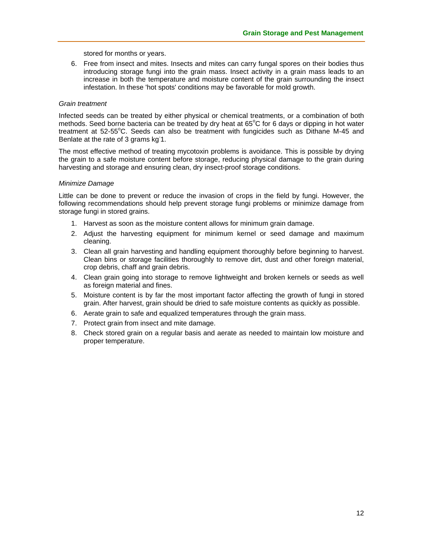stored for months or years.

6. Free from insect and mites. Insects and mites can carry fungal spores on their bodies thus introducing storage fungi into the grain mass. Insect activity in a grain mass leads to an increase in both the temperature and moisture content of the grain surrounding the insect infestation. In these 'hot spots' conditions may be favorable for mold growth.

#### *Grain treatment*

Infected seeds can be treated by either physical or chemical treatments, or a combination of both methods. Seed borne bacteria can be treated by dry heat at  $65^{\circ}$ C for 6 days or dipping in hot water treatment at 52-55°C. Seeds can also be treatment with fungicides such as Dithane M-45 and Benlate at the rate of 3 grams kg<sup>-1</sup>.

The most effective method of treating mycotoxin problems is avoidance. This is possible by drying the grain to a safe moisture content before storage, reducing physical damage to the grain during harvesting and storage and ensuring clean, dry insect-proof storage conditions.

#### *Minimize Damage*

Little can be done to prevent or reduce the invasion of crops in the field by fungi. However, the following recommendations should help prevent storage fungi problems or minimize damage from storage fungi in stored grains.

- 1. Harvest as soon as the moisture content allows for minimum grain damage.
- 2. Adjust the harvesting equipment for minimum kernel or seed damage and maximum cleaning.
- 3. Clean all grain harvesting and handling equipment thoroughly before beginning to harvest. Clean bins or storage facilities thoroughly to remove dirt, dust and other foreign material, crop debris, chaff and grain debris.
- 4. Clean grain going into storage to remove lightweight and broken kernels or seeds as well as foreign material and fines.
- 5. Moisture content is by far the most important factor affecting the growth of fungi in stored grain. After harvest, grain should be dried to safe moisture contents as quickly as possible.
- 6. Aerate grain to safe and equalized temperatures through the grain mass.
- 7. Protect grain from insect and mite damage.
- 8. Check stored grain on a regular basis and aerate as needed to maintain low moisture and proper temperature.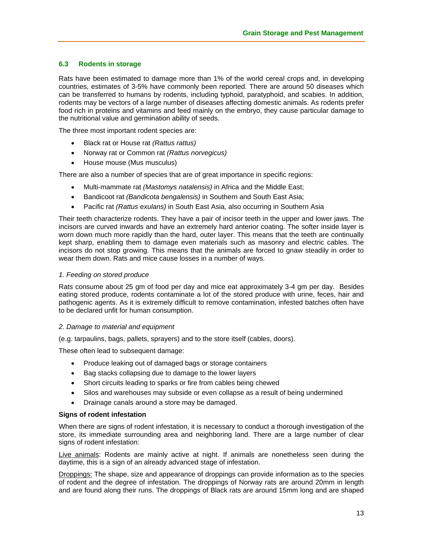## **6.3 Rodents in storage**

Rats have been estimated to damage more than 1% of the world cereal crops and, in developing countries, estimates of 3-5% have commonly been reported. There are around 50 diseases which can be transferred to humans by rodents, including typhoid, paratyphoid, and scabies. In addition, rodents may be vectors of a large number of diseases affecting domestic animals. As rodents prefer food rich in proteins and vitamins and feed mainly on the embryo, they cause particular damage to the nutritional value and germination ability of seeds.

The three most important rodent species are:

- Black rat or House rat *(Rattus rattus)*
- Norway rat or Common rat *(Rattus norvegicus)*
- House mouse (Mus musculus)

There are also a number of species that are of great importance in specific regions:

- Multi-mammate rat *(Mastomys natalensis)* in Africa and the Middle East;
- Bandicoot rat *(Bandicota bengalensis)* in Southern and South East Asia;
- Pacific rat *(Rattus exulans)* in South East Asia, also occurring in Southern Asia

Their teeth characterize rodents. They have a pair of incisor teeth in the upper and lower jaws. The incisors are curved inwards and have an extremely hard anterior coating. The softer inside layer is worn down much more rapidly than the hard, outer layer. This means that the teeth are continually kept sharp, enabling them to damage even materials such as masonry and electric cables. The incisors do not stop growing. This means that the animals are forced to gnaw steadily in order to wear them down. Rats and mice cause losses in a number of ways.

#### *1. Feeding on stored produce*

Rats consume about 25 gm of food per day and mice eat approximately 3-4 gm per day. Besides eating stored produce, rodents contaminate a lot of the stored produce with urine, feces, hair and pathogenic agents. As it is extremely difficult to remove contamination, infested batches often have to be declared unfit for human consumption.

#### *2. Damage to material and equipment*

(e.g. tarpaulins, bags, pallets, sprayers) and to the store itself (cables, doors).

These often lead to subsequent damage:

- Produce leaking out of damaged bags or storage containers
- Bag stacks collapsing due to damage to the lower layers
- Short circuits leading to sparks or fire from cables being chewed
- Silos and warehouses may subside or even collapse as a result of being undermined
- Drainage canals around a store may be damaged.

#### **Signs of rodent infestation**

When there are signs of rodent infestation, it is necessary to conduct a thorough investigation of the store, its immediate surrounding area and neighboring land. There are a large number of clear signs of rodent infestation:

Live animals: Rodents are mainly active at night. If animals are nonetheless seen during the daytime, this is a sign of an already advanced stage of infestation.

Droppings: The shape, size and appearance of droppings can provide information as to the species of rodent and the degree of infestation. The droppings of Norway rats are around 20mm in length and are found along their runs. The droppings of Black rats are around 15mm long and are shaped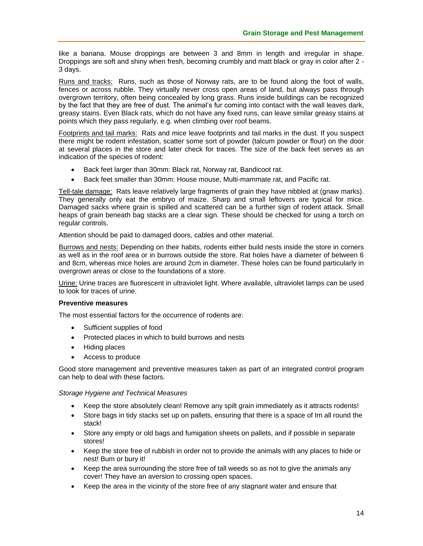like a banana. Mouse droppings are between 3 and 8mm in length and irregular in shape. Droppings are soft and shiny when fresh, becoming crumbly and matt black or gray in color after 2 - 3 days.

Runs and tracks: Runs, such as those of Norway rats, are to be found along the foot of walls, fences or across rubble. They virtually never cross open areas of land, but always pass through overgrown territory, often being concealed by long grass. Runs inside buildings can be recognized by the fact that they are free of dust. The animal's fur coming into contact with the wall leaves dark, greasy stains. Even Black rats, which do not have any fixed runs, can leave similar greasy stains at points which they pass regularly, e.g. when climbing over roof beams.

Footprints and tail marks: Rats and mice leave footprints and tail marks in the dust. If you suspect there might be rodent infestation, scatter some sort of powder (talcum powder or flour) on the door at several places in the store and later check for traces. The size of the back feet serves as an indication of the species of rodent:

- Back feet larger than 30mm: Black rat, Norway rat, Bandicoot rat.
- Back feet smaller than 30mm: House mouse, Multi-mammate rat, and Pacific rat.

Tell-tale damage: Rats leave relatively large fragments of grain they have nibbled at (gnaw marks). They generally only eat the embryo of maize. Sharp and small leftovers are typical for mice. Damaged sacks where grain is spilled and scattered can be a further sign of rodent attack. Small heaps of grain beneath bag stacks are a clear sign. These should be checked for using a torch on regular controls.

Attention should be paid to damaged doors, cables and other material.

Burrows and nests: Depending on their habits, rodents either build nests inside the store in corners as well as in the roof area or in burrows outside the store. Rat holes have a diameter of between 6 and 8cm, whereas mice holes are around 2cm in diameter. These holes can be found particularly in overgrown areas or close to the foundations of a store.

Urine: Urine traces are fluorescent in ultraviolet light. Where available, ultraviolet lamps can be used to look for traces of urine.

#### **Preventive measures**

The most essential factors for the occurrence of rodents are:

- Sufficient supplies of food
- Protected places in which to build burrows and nests
- Hiding places
- Access to produce

Good store management and preventive measures taken as part of an integrated control program can help to deal with these factors.

#### *Storage Hygiene and Technical Measures*

- Keep the store absolutely clean! Remove any spilt grain immediately as it attracts rodents!
- Store bags in tidy stacks set up on pallets, ensuring that there is a space of Im all round the stack!
- Store any empty or old bags and fumigation sheets on pallets, and if possible in separate stores!
- Keep the store free of rubbish in order not to provide the animals with any places to hide or nest! Bum or bury it!
- Keep the area surrounding the store free of tall weeds so as not to give the animals any cover! They have an aversion to crossing open spaces.
- Keep the area in the vicinity of the store free of any stagnant water and ensure that